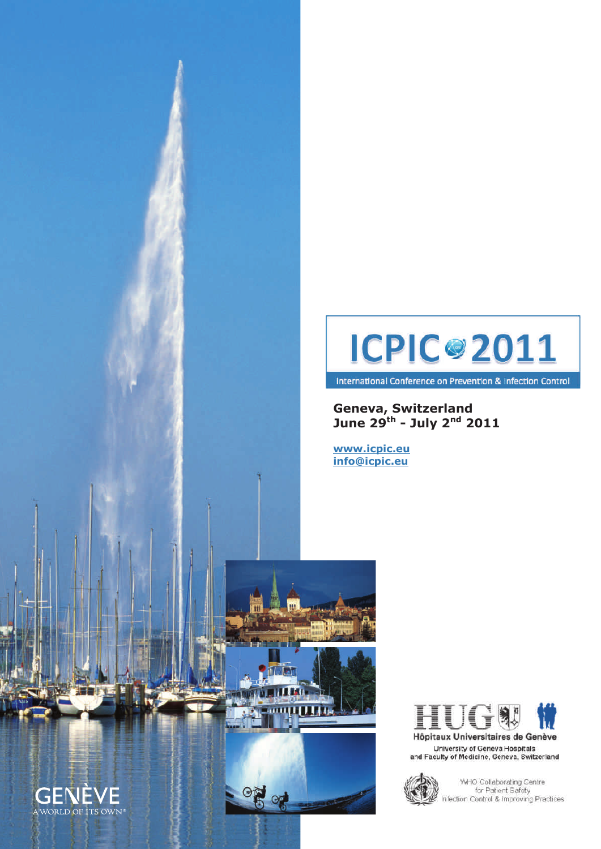



**Geneva, Switzerland June 29th - July 2nd 2011** 

**www.icpic.eu info@icpic.eu** 



Hôpitaux Universitaires de Genève University of Geneva Hospitals and Faculty of Medicine, Geneva, Switzerland



 $\frac{1}{2}$ 

WHO Collaborating Centre for Patient Safety<br>Infection Control & Improving Practices

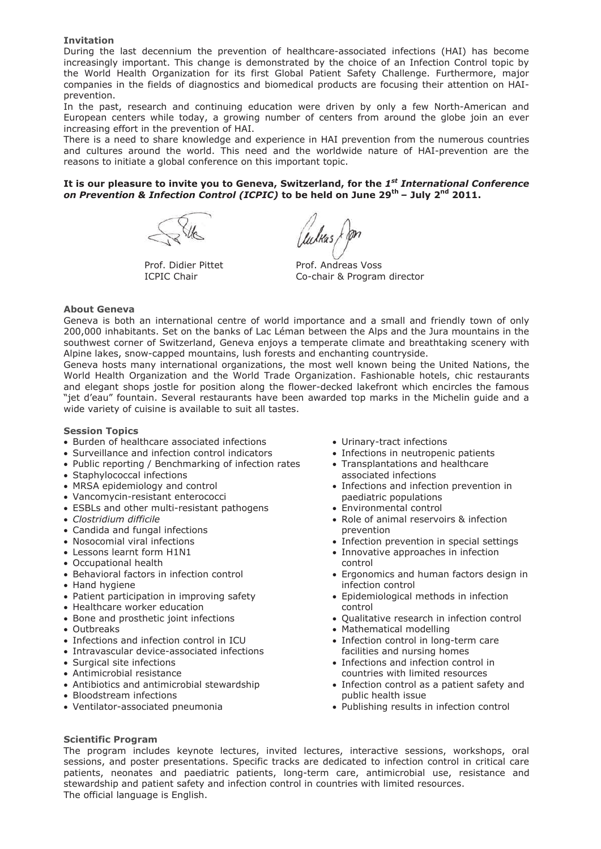## **Invitation**

During the last decennium the prevention of healthcare-associated infections (HAI) has become increasingly important. This change is demonstrated by the choice of an Infection Control topic by the World Health Organization for its first Global Patient Safety Challenge. Furthermore, major companies in the fields of diagnostics and biomedical products are focusing their attention on HAIprevention.

In the past, research and continuing education were driven by only a few North-American and European centers while today, a growing number of centers from around the globe join an ever increasing effort in the prevention of HAI.

There is a need to share knowledge and experience in HAI prevention from the numerous countries and cultures around the world. This need and the worldwide nature of HAI-prevention are the reasons to initiate a global conference on this important topic.

# **It is our pleasure to invite you to Geneva, Switzerland, for the** *1st International Conference on Prevention & Infection Control (ICPIC)* **to be held on June 29th – July 2nd 2011.**

Prof. Didier Pittet ICPIC Chair

lulkas & pn

Prof. Andreas Voss Co-chair & Program director

### **About Geneva**

Geneva is both an international centre of world importance and a small and friendly town of only 200,000 inhabitants. Set on the banks of Lac Léman between the Alps and the Jura mountains in the southwest corner of Switzerland, Geneva enjoys a temperate climate and breathtaking scenery with Alpine lakes, snow-capped mountains, lush forests and enchanting countryside.

Geneva hosts many international organizations, the most well known being the United Nations, the World Health Organization and the World Trade Organization. Fashionable hotels, chic restaurants and elegant shops jostle for position along the flower-decked lakefront which encircles the famous "jet d'eau" fountain. Several restaurants have been awarded top marks in the Michelin guide and a wide variety of cuisine is available to suit all tastes.

## **Session Topics**

- Burden of healthcare associated infections
- Surveillance and infection control indicators
- Public reporting / Benchmarking of infection rates
- Staphylococcal infections
- MRSA epidemiology and control
- Vancomycin-resistant enterococci
- ESBLs and other multi-resistant pathogens
- x *Clostridium difficile*
- Candida and fungal infections
- Nosocomial viral infections
- Lessons learnt form H1N1
- Occupational health
- Behavioral factors in infection control
- Hand hygiene
- Patient participation in improving safety
- Healthcare worker education
- Bone and prosthetic joint infections
- $\bullet$  Outbreaks
- Infections and infection control in ICU
- Intravascular device-associated infections
- Surgical site infections
- Antimicrobial resistance
- Antibiotics and antimicrobial stewardship
- Bloodstream infections
- Ventilator-associated pneumonia
- Urinary-tract infections
- Infections in neutropenic patients
- Transplantations and healthcare associated infections
- Infections and infection prevention in paediatric populations
- Environmental control
- Role of animal reservoirs & infection prevention
- Infection prevention in special settings
- Innovative approaches in infection control
- Ergonomics and human factors design in infection control
- Epidemiological methods in infection control
- Oualitative research in infection control
- Mathematical modelling
- Infection control in long-term care facilities and nursing homes
- Infections and infection control in countries with limited resources
- Infection control as a patient safety and public health issue
- x Publishing results in infection control

## **Scientific Program**

The program includes keynote lectures, invited lectures, interactive sessions, workshops, oral sessions, and poster presentations. Specific tracks are dedicated to infection control in critical care patients, neonates and paediatric patients, long-term care, antimicrobial use, resistance and stewardship and patient safety and infection control in countries with limited resources. The official language is English.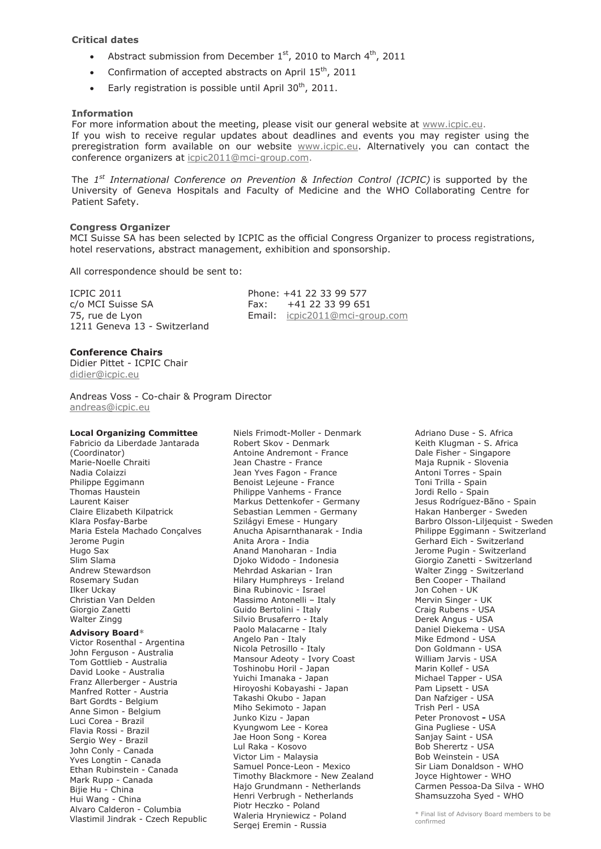## **Critical dates**

- Abstract submission from December  $1<sup>st</sup>$ , 2010 to March  $4<sup>th</sup>$ , 2011
- Confirmation of accepted abstracts on April  $15^{th}$ , 2011
- Early registration is possible until April  $30<sup>th</sup>$ , 2011.

### **Information**

For more information about the meeting, please visit our general website at www.icpic.eu. If you wish to receive regular updates about deadlines and events you may register using the preregistration form available on our website www.icpic.eu. Alternatively you can contact the conference organizers at icpic2011@mci-group.com.

The *1st International Conference on Prevention & Infection Control (ICPIC)* is supported by the University of Geneva Hospitals and Faculty of Medicine and the WHO Collaborating Centre for Patient Safety.

#### **Congress Organizer**

MCI Suisse SA has been selected by ICPIC as the official Congress Organizer to process registrations, hotel reservations, abstract management, exhibition and sponsorship.

All correspondence should be sent to:

ICPIC 2011 c/o MCI Suisse SA 75, rue de Lyon 1211 Geneva 13 - Switzerland Phone: +41 22 33 99 577 Fax: +41 22 33 99 651 Email: icpic2011@mci-group.com

# **Conference Chairs**

Didier Pittet - ICPIC Chair didier@icpic.eu

Andreas Voss - Co-chair & Program Director andreas@icpic.eu

#### **Local Organizing Committee**

Fabricio da Liberdade Jantarada (Coordinator) Marie-Noelle Chraiti Nadia Colaizzi Philippe Eggimann Thomas Haustein Laurent Kaiser Claire Elizabeth Kilpatrick Klara Posfay-Barbe Maria Estela Machado Conçalves Jerome Pugin Hugo Sax Slim Slama Andrew Stewardson Rosemary Sudan Ilker Uckay Christian Van Delden Giorgio Zanetti Walter Zingg **Advisory Board\*** Victor Rosenthal - Argentina John Ferguson - Australia Tom Gottlieb - Australia David Looke - Australia Franz Allerberger - Austria Manfred Rotter - Austria Bart Gordts - Belgium Anne Simon - Belgium Luci Corea - Brazil Flavia Rossi - Brazil Sergio Wey - Brazil John Conly - Canada Yves Longtin - Canada Ethan Rubinstein - Canada Mark Rupp - Canada Bijie Hu - China Hui Wang - China Alvaro Calderon - Columbia

Vlastimil Jindrak - Czech Republic

Niels Frimodt-Moller - Denmark Robert Skov - Denmark Antoine Andremont - France Jean Chastre - France Jean Yves Fagon - France Benoist Lejeune - France Philippe Vanhems - France Markus Dettenkofer - Germany Sebastian Lemmen - Germany Szilágyi Emese - Hungary Anucha Apisarnthanarak - India Anita Arora - India Anand Manoharan - India Djoko Widodo - Indonesia Mehrdad Askarian - Iran Hilary Humphreys - Ireland Bina Rubinovic - Israel Massimo Antonelli – Italy Guido Bertolini - Italy Silvio Brusaferro - Italy Paolo Malacarne - Italy Angelo Pan - Italy Nicola Petrosillo - Italy Mansour Adeoty - Ivory Coast Toshinobu Horil - Japan Yuichi Imanaka - Japan Hiroyoshi Kobayashi - Japan Takashi Okubo - Japan Miho Sekimoto - Japan Junko Kizu - Japan Kyungwom Lee - Korea Jae Hoon Song - Korea Lul Raka - Kosovo Victor Lim - Malaysia Samuel Ponce-Leon - Mexico Timothy Blackmore - New Zealand Hajo Grundmann - Netherlands Henri Verbrugh - Netherlands Piotr Heczko - Poland Waleria Hryniewicz - Poland Sergej Eremin - Russia

Adriano Duse - S. Africa Keith Klugman - S. Africa Dale Fisher - Singapore Maja Rupnik - Slovenia Antoni Torres - Spain Toni Trilla - Spain Jordi Rello - Spain Jesus Rodríguez-Bãno - Spain Hakan Hanberger - Sweden Barbro Olsson-Liljequist - Sweden Philippe Eggimann - Switzerland Gerhard Eich - Switzerland Jerome Pugin - Switzerland Giorgio Zanetti - Switzerland Walter Zingg - Switzerland Ben Cooper - Thailand Jon Cohen - UK Mervin Singer - UK Craig Rubens - USA Derek Angus - USA Daniel Diekema - USA Mike Edmond - USA Don Goldmann - USA William Jarvis - USA Marin Kollef - USA Michael Tapper - USA Pam Lipsett - USA Dan Nafziger - USA Trish Perl - USA Peter Pronovost **-** USA Gina Pugliese - USA Sanjay Saint - USA Bob Sherertz - USA Bob Weinstein - USA Sir Liam Donaldson - WHO Joyce Hightower - WHO Carmen Pessoa-Da Silva - WHO Shamsuzzoha Syed - WHO

\* Final list of Advisory Board members to be confirmed